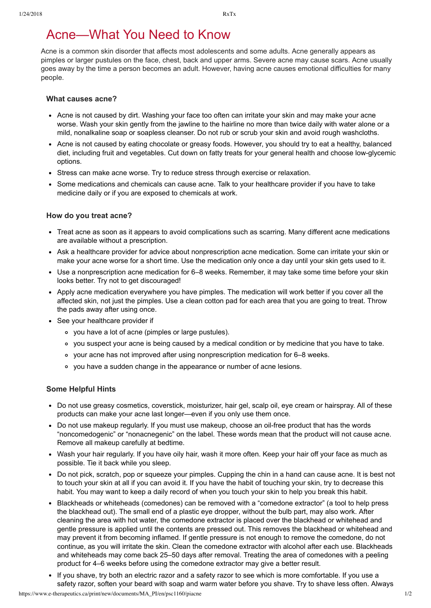## Acne—What You Need to Know

Acne is a common skin disorder that affects most adolescents and some adults. Acne generally appears as pimples or larger pustules on the face, chest, back and upper arms. Severe acne may cause scars. Acne usually goes away by the time a person becomes an adult. However, having acne causes emotional difficulties for many people.

## **What causes acne?**

- Acne is not caused by dirt. Washing your face too often can irritate your skin and may make your acne worse. Wash your skin gently from the jawline to the hairline no more than twice daily with water alone or a mild, nonalkaline soap or soapless cleanser. Do not rub or scrub your skin and avoid rough washcloths.
- Acne is not caused by eating chocolate or greasy foods. However, you should try to eat a healthy, balanced diet, including fruit and vegetables. Cut down on fatty treats for your general health and choose low-glycemic options.
- Stress can make acne worse. Try to reduce stress through exercise or relaxation.
- Some medications and chemicals can cause acne. Talk to your healthcare provider if you have to take medicine daily or if you are exposed to chemicals at work.

## **How do you treat acne?**

- Treat acne as soon as it appears to avoid complications such as scarring. Many different acne medications are available without a prescription.
- Ask a healthcare provider for advice about nonprescription acne medication. Some can irritate your skin or make your acne worse for a short time. Use the medication only once a day until your skin gets used to it.
- Use a nonprescription acne medication for 6–8 weeks. Remember, it may take some time before your skin looks better. Try not to get discouraged!
- Apply acne medication everywhere you have pimples. The medication will work better if you cover all the affected skin, not just the pimples. Use a clean cotton pad for each area that you are going to treat. Throw the pads away after using once.
- See your healthcare provider if
	- you have a lot of acne (pimples or large pustules).
	- you suspect your acne is being caused by a medical condition or by medicine that you have to take.
	- your acne has not improved after using nonprescription medication for 6–8 weeks.
	- you have a sudden change in the appearance or number of acne lesions.

## **Some Helpful Hints**

- Do not use greasy cosmetics, coverstick, moisturizer, hair gel, scalp oil, eye cream or hairspray. All of these products can make your acne last longer—even if you only use them once.
- Do not use makeup regularly. If you must use makeup, choose an oil-free product that has the words "noncomedogenic" or "nonacnegenic" on the label. These words mean that the product will not cause acne. Remove all makeup carefully at bedtime.
- Wash your hair regularly. If you have oily hair, wash it more often. Keep your hair off your face as much as possible. Tie it back while you sleep.
- Do not pick, scratch, pop or squeeze your pimples. Cupping the chin in a hand can cause acne. It is best not to touch your skin at all if you can avoid it. If you have the habit of touching your skin, try to decrease this habit. You may want to keep a daily record of when you touch your skin to help you break this habit.
- Blackheads or whiteheads (comedones) can be removed with a "comedone extractor" (a tool to help press the blackhead out). The small end of a plastic eye dropper, without the bulb part, may also work. After cleaning the area with hot water, the comedone extractor is placed over the blackhead or whitehead and gentle pressure is applied until the contents are pressed out. This removes the blackhead or whitehead and may prevent it from becoming inflamed. If gentle pressure is not enough to remove the comedone, do not continue, as you will irritate the skin. Clean the comedone extractor with alcohol after each use. Blackheads and whiteheads may come back 25–50 days after removal. Treating the area of comedones with a peeling product for 4–6 weeks before using the comedone extractor may give a better result.
- If you shave, try both an electric razor and a safety razor to see which is more comfortable. If you use a safety razor, soften your beard with soap and warm water before you shave. Try to shave less often. Always